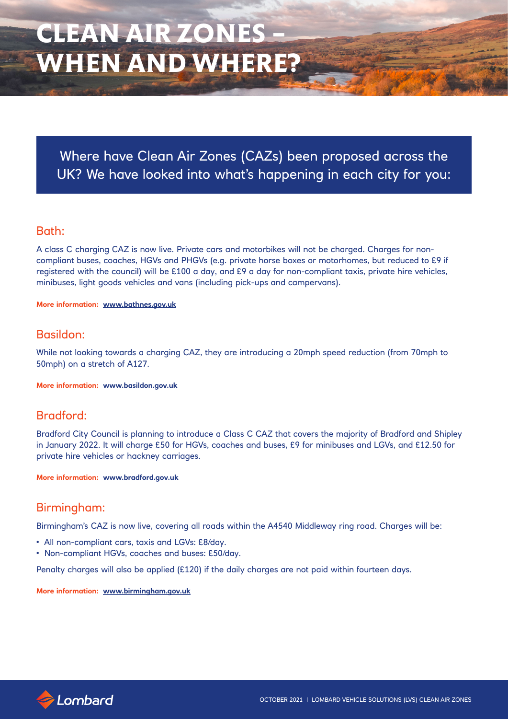Where have Clean Air Zones (CAZs) been proposed across the UK? We have looked into what's happening in each city for you:

## Bath:

A class C charging CAZ is now live. Private cars and motorbikes will not be charged. Charges for noncompliant buses, coaches, HGVs and PHGVs (e.g. private horse boxes or motorhomes, but reduced to £9 if registered with the council) will be £100 a day, and £9 a day for non-compliant taxis, private hire vehicles, minibuses, light goods vehicles and vans (including pick-ups and campervans).

**More information: www.bathnes.gov.uk**

## Basildon:

While not looking towards a charging CAZ, they are introducing a 20mph speed reduction (from 70mph to 50mph) on a stretch of A127.

**More information: www.basildon.gov.uk**

# Bradford:

Bradford City Council is planning to introduce a Class C CAZ that covers the majority of Bradford and Shipley in January 2022. It will charge £50 for HGVs, coaches and buses, £9 for minibuses and LGVs, and £12.50 for private hire vehicles or hackney carriages.

**More information: www.bradford.gov.uk**

# Birmingham:

Birmingham's CAZ is now live, covering all roads within the A4540 Middleway ring road. Charges will be:

- All non-compliant cars, taxis and LGVs: £8/day.
- Non-compliant HGVs, coaches and buses: £50/day.

Penalty charges will also be applied (£120) if the daily charges are not paid within fourteen days.

**More information: www.birmingham.gov.uk**

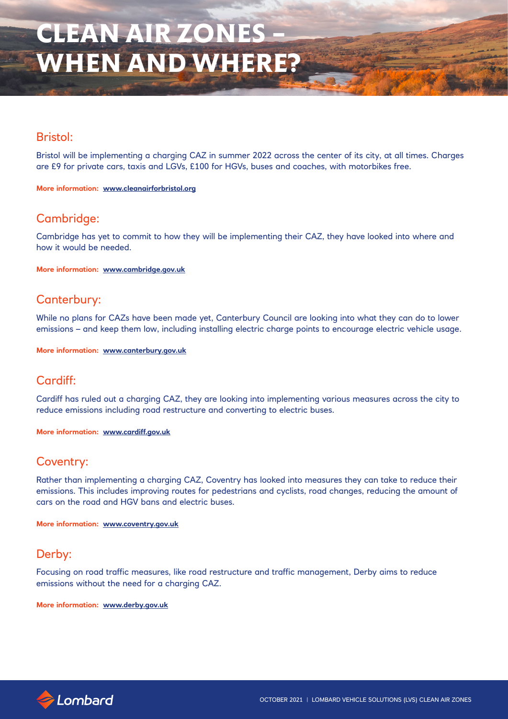## Bristol:

Bristol will be implementing a charging CAZ in summer 2022 across the center of its city, at all times. Charges are £9 for private cars, taxis and LGVs, £100 for HGVs, buses and coaches, with motorbikes free.

**More information: www.cleanairforbristol.org**

# Cambridge:

Cambridge has yet to commit to how they will be implementing their CAZ, they have looked into where and how it would be needed.

**More information: www.cambridge.gov.uk**

## Canterbury:

While no plans for CAZs have been made yet, Canterbury Council are looking into what they can do to lower emissions – and keep them low, including installing electric charge points to encourage electric vehicle usage.

**More information: www.canterbury.gov.uk**

# Cardiff:

Cardiff has ruled out a charging CAZ, they are looking into implementing various measures across the city to reduce emissions including road restructure and converting to electric buses.

**More information: www.cardiff.gov.uk**

# Coventry:

Rather than implementing a charging CAZ, Coventry has looked into measures they can take to reduce their emissions. This includes improving routes for pedestrians and cyclists, road changes, reducing the amount of cars on the road and HGV bans and electric buses.

**More information: www.coventry.gov.uk**

## Derby:

Focusing on road traffic measures, like road restructure and traffic management, Derby aims to reduce emissions without the need for a charging CAZ.

**More information: www.derby.gov.uk**

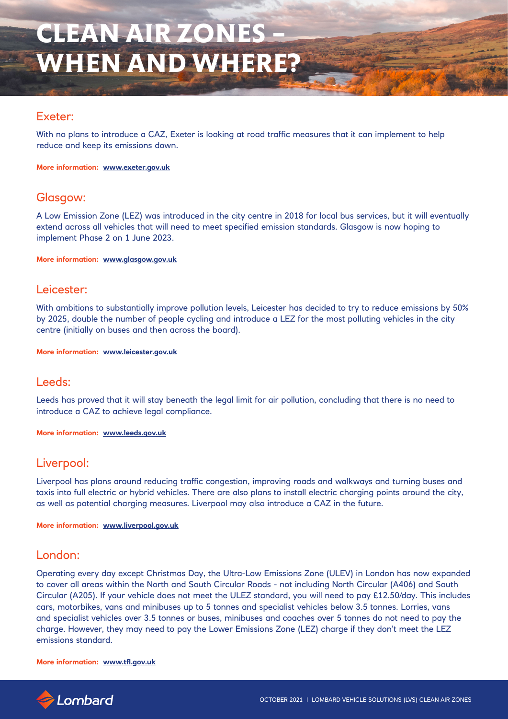## Exeter:

With no plans to introduce a CAZ, Exeter is looking at road traffic measures that it can implement to help reduce and keep its emissions down.

**More information: www.exeter.gov.uk**

## Glasgow:

A Low Emission Zone (LEZ) was introduced in the city centre in 2018 for local bus services, but it will eventually extend across all vehicles that will need to meet specified emission standards. Glasgow is now hoping to implement Phase 2 on 1 June 2023.

**More information: www.glasgow.gov.uk**

### Leicester:

With ambitions to substantially improve pollution levels, Leicester has decided to try to reduce emissions by 50% by 2025, double the number of people cycling and introduce a LEZ for the most polluting vehicles in the city centre (initially on buses and then across the board).

**More information: www.leicester.gov.uk**

## Leeds:

Leeds has proved that it will stay beneath the legal limit for air pollution, concluding that there is no need to introduce a CAZ to achieve legal compliance.

**More information: www.leeds.gov.uk**

## Liverpool:

Liverpool has plans around reducing traffic congestion, improving roads and walkways and turning buses and taxis into full electric or hybrid vehicles. There are also plans to install electric charging points around the city, as well as potential charging measures. Liverpool may also introduce a CAZ in the future.

**More information: www.liverpool.gov.uk**

## London:

Operating every day except Christmas Day, the Ultra-Low Emissions Zone (ULEV) in London has now expanded to cover all areas within the North and South Circular Roads - not including North Circular (A406) and South Circular (A205). If your vehicle does not meet the ULEZ standard, you will need to pay £12.50/day. This includes cars, motorbikes, vans and minibuses up to 5 tonnes and specialist vehicles below 3.5 tonnes. Lorries, vans and specialist vehicles over 3.5 tonnes or buses, minibuses and coaches over 5 tonnes do not need to pay the charge. However, they may need to pay the Lower Emissions Zone (LEZ) charge if they don't meet the LEZ emissions standard.

#### **More information: www.tfl.gov.uk**

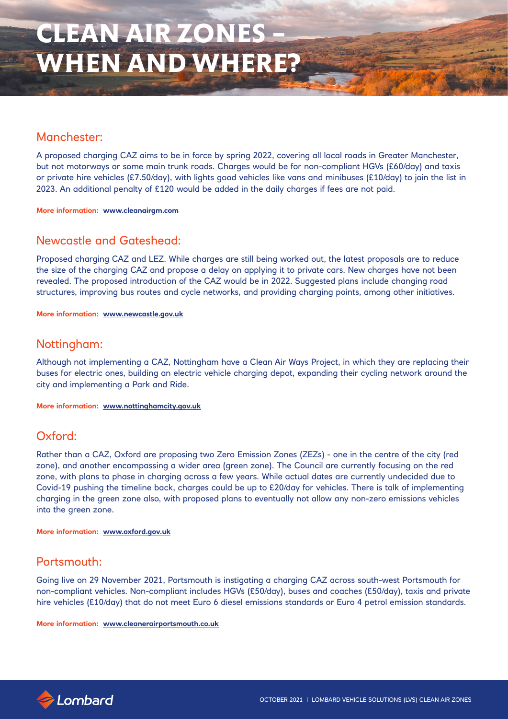## Manchester:

A proposed charging CAZ aims to be in force by spring 2022, covering all local roads in Greater Manchester, but not motorways or some main trunk roads. Charges would be for non-compliant HGVs (£60/day) and taxis or private hire vehicles (£7.50/day), with lights good vehicles like vans and minibuses (£10/day) to join the list in 2023. An additional penalty of £120 would be added in the daily charges if fees are not paid.

**More information: www.cleanairgm.com**

## Newcastle and Gateshead:

Proposed charging CAZ and LEZ. While charges are still being worked out, the latest proposals are to reduce the size of the charging CAZ and propose a delay on applying it to private cars. New charges have not been revealed. The proposed introduction of the CAZ would be in 2022. Suggested plans include changing road structures, improving bus routes and cycle networks, and providing charging points, among other initiatives.

**More information: www.newcastle.gov.uk**

## Nottingham:

Although not implementing a CAZ, Nottingham have a Clean Air Ways Project, in which they are replacing their buses for electric ones, building an electric vehicle charging depot, expanding their cycling network around the city and implementing a Park and Ride.

**More information: www.nottinghamcity.gov.uk**

# Oxford:

Rather than a CAZ, Oxford are proposing two Zero Emission Zones (ZEZs) - one in the centre of the city (red zone), and another encompassing a wider area (green zone). The Council are currently focusing on the red zone, with plans to phase in charging across a few years. While actual dates are currently undecided due to Covid-19 pushing the timeline back, charges could be up to £20/day for vehicles. There is talk of implementing charging in the green zone also, with proposed plans to eventually not allow any non-zero emissions vehicles into the green zone.

**More information: www.oxford.gov.uk**

## Portsmouth:

Going live on 29 November 2021, Portsmouth is instigating a charging CAZ across south-west Portsmouth for non-compliant vehicles. Non-compliant includes HGVs (£50/day), buses and coaches (£50/day), taxis and private hire vehicles (£10/day) that do not meet Euro 6 diesel emissions standards or Euro 4 petrol emission standards.

**More information: www.cleanerairportsmouth.co.uk**

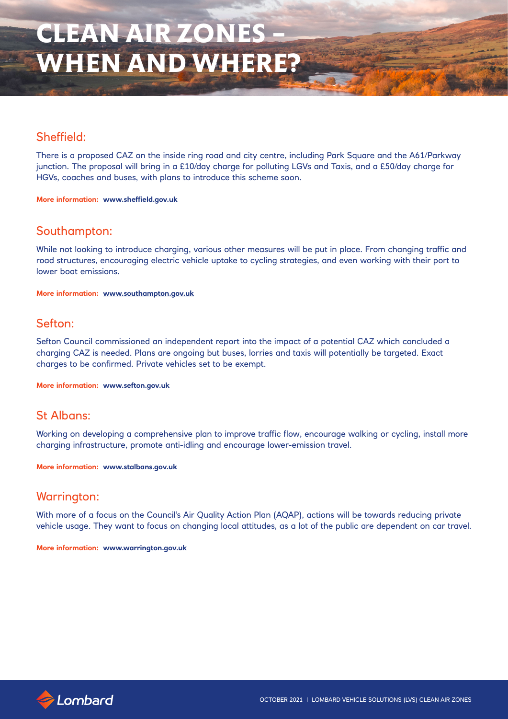# Sheffield:

There is a proposed CAZ on the inside ring road and city centre, including Park Square and the A61/Parkway junction. The proposal will bring in a £10/day charge for polluting LGVs and Taxis, and a £50/day charge for HGVs, coaches and buses, with plans to introduce this scheme soon.

**More information: www.sheffield.gov.uk**

## Southampton:

While not looking to introduce charging, various other measures will be put in place. From changing traffic and road structures, encouraging electric vehicle uptake to cycling strategies, and even working with their port to lower boat emissions.

**More information: www.southampton.gov.uk**

## Sefton:

Sefton Council commissioned an independent report into the impact of a potential CAZ which concluded a charging CAZ is needed. Plans are ongoing but buses, lorries and taxis will potentially be targeted. Exact charges to be confirmed. Private vehicles set to be exempt.

**More information: www.sefton.gov.uk**

## St Albans:

Working on developing a comprehensive plan to improve traffic flow, encourage walking or cycling, install more charging infrastructure, promote anti-idling and encourage lower-emission travel.

**More information: www.stalbans.gov.uk**

## Warrington:

With more of a focus on the Council's Air Quality Action Plan (AQAP), actions will be towards reducing private vehicle usage. They want to focus on changing local attitudes, as a lot of the public are dependent on car travel.

**More information: www.warrington.gov.uk**

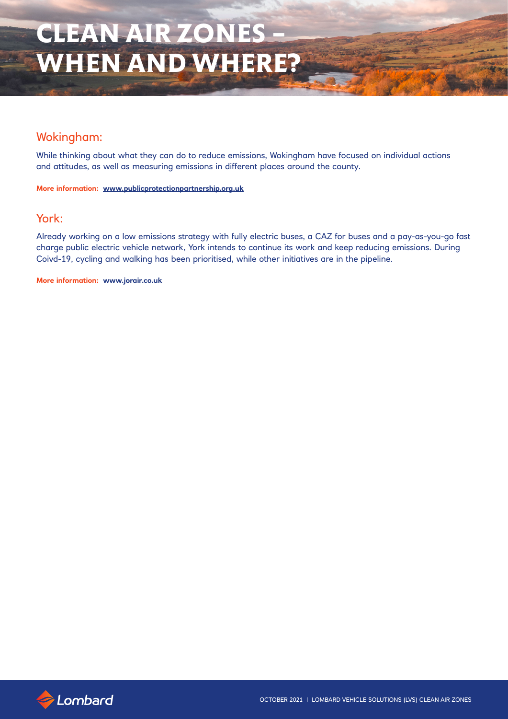# Wokingham:

While thinking about what they can do to reduce emissions, Wokingham have focused on individual actions and attitudes, as well as measuring emissions in different places around the county.

**More information: www.publicprotectionpartnership.org.uk**

### York:

Already working on a low emissions strategy with fully electric buses, a CAZ for buses and a pay-as-you-go fast charge public electric vehicle network, York intends to continue its work and keep reducing emissions. During Coivd-19, cycling and walking has been prioritised, while other initiatives are in the pipeline.

**More information: www.jorair.co.uk**